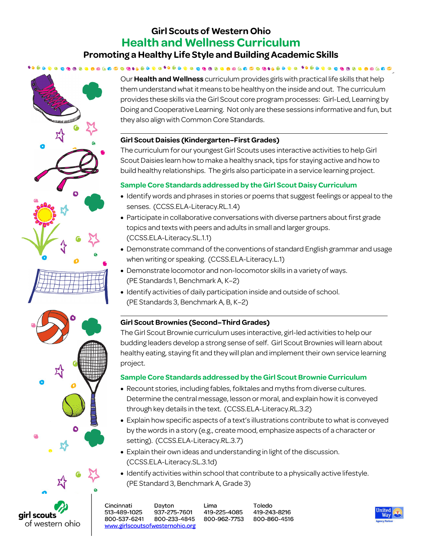# **Girl Scouts of Western Ohio Health and Wellness Curriculum Promoting a Healthy Life Style and Building Academic Skills**



Our **Health and Wellness** curriculum provides girls with practical life skills that help them understand what it means to be healthy on the inside and out. The curriculum provides these skills via the Girl Scout core program processes: Girl-Led, Learning by Doing and Cooperative Learning. Not only are these sessions informative and fun, but they also align with Common Core Standards.

# **Girl Scout Daisies (Kindergarten–First Grades)**

The curriculum for our youngest Girl Scouts uses interactive activities to help Girl Scout Daisies learn how to make a healthy snack, tips for staying active and how to build healthy relationships. The girls also participate in a service learning project.

# **Sample Core Standards addressed by the Girl Scout Daisy Curriculum**

- Identify words and phrases in stories or poems that suggest feelings or appeal to the senses. (CCSS.ELA-Literacy.RL.1.4)
- Participate in collaborative conversations with diverse partners about first grade topics and texts with peers and adults in small and larger groups. (CCSS.ELA-Literacy.SL.1.1)
- Demonstrate command of the conventions of standard English grammar and usage when writing or speaking. (CCSS.ELA-Literacy.L.1)
- Demonstrate locomotor and non-locomotor skills in a variety of ways. (PE Standards 1, Benchmark A, K–2)
- Identify activities of daily participation inside and outside of school. (PE Standards 3, Benchmark A, B, K–2)

# **Girl Scout Brownies (Second–Third Grades)**

The Girl Scout Brownie curriculum uses interactive, girl-led activities to help our budding leaders develop a strong sense of self. Girl Scout Brownies will learn about healthy eating, staying fit and they will plan and implement their own service learning project.

# **Sample Core Standards addressed by the Girl Scout Brownie Curriculum**

- Recount stories, including fables, folktales and myths from diverse cultures. Determine the central message, lesson or moral, and explain how it is conveyed through key details in the text. (CCSS.ELA-Literacy.RL.3.2)
- Explain how specific aspects of a text's illustrations contribute to what is conveyed by the words in a story (e.g., create mood, emphasize aspects of a character or setting). (CCSS.ELA-Literacy.RL.3.7)
- Explain their own ideas and understanding in light of the discussion. (CCSS.ELA-Literacy.SL.3.1d)
- Identify activities within school that contribute to a physically active lifestyle. (PE Standard 3, Benchmark A, Grade 3)



Cincinnati Dayton 513-489-1025 937-275-7601 800-537-6241 800-233-4845 www.girlscoutsofwesternohio.org Lima 419-225-4085 800-962-7753

Toledo 419-243-8216 800-860-4516